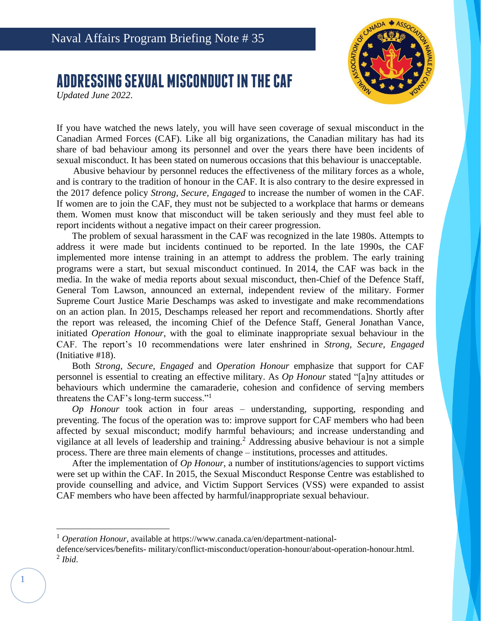## **ADDRESSING SEXUAL MISCONDUCT IN THE CAF**

*Updated June 2022*.



If you have watched the news lately, you will have seen coverage of sexual misconduct in the Canadian Armed Forces (CAF). Like all big organizations, the Canadian military has had its share of bad behaviour among its personnel and over the years there have been incidents of sexual misconduct. It has been stated on numerous occasions that this behaviour is unacceptable.

Abusive behaviour by personnel reduces the effectiveness of the military forces as a whole, and is contrary to the tradition of honour in the CAF. It is also contrary to the desire expressed in the 2017 defence policy *Strong, Secure, Engaged* to increase the number of women in the CAF. If women are to join the CAF, they must not be subjected to a workplace that harms or demeans them. Women must know that misconduct will be taken seriously and they must feel able to report incidents without a negative impact on their career progression.

The problem of sexual harassment in the CAF was recognized in the late 1980s. Attempts to address it were made but incidents continued to be reported. In the late 1990s, the CAF implemented more intense training in an attempt to address the problem. The early training programs were a start, but sexual misconduct continued. In 2014, the CAF was back in the media. In the wake of media reports about sexual misconduct, then-Chief of the Defence Staff, General Tom Lawson, announced an external, independent review of the military. Former Supreme Court Justice Marie Deschamps was asked to investigate and make recommendations on an action plan. In 2015, Deschamps released her report and recommendations. Shortly after the report was released, the incoming Chief of the Defence Staff, General Jonathan Vance, initiated *Operation Honour*, with the goal to eliminate inappropriate sexual behaviour in the CAF. The report's 10 recommendations were later enshrined in *Strong, Secure, Engaged*  (Initiative #18).

Both *Strong, Secure, Engaged* and *Operation Honour* emphasize that support for CAF personnel is essential to creating an effective military. As *Op Honour* stated "[a]ny attitudes or behaviours which undermine the camaraderie, cohesion and confidence of serving members threatens the CAF's long-term success."<sup>1</sup>

*Op Honour* took action in four areas – understanding, supporting, responding and preventing. The focus of the operation was to: improve support for CAF members who had been affected by sexual misconduct; modify harmful behaviours; and increase understanding and vigilance at all levels of leadership and training.<sup>2</sup> Addressing abusive behaviour is not a simple process. There are three main elements of change – institutions, processes and attitudes.

After the implementation of *Op Honour*, a number of institutions/agencies to support victims were set up within the CAF. In 2015, the Sexual Misconduct Response Centre was established to provide counselling and advice, and Victim Support Services (VSS) were expanded to assist CAF members who have been affected by harmful/inappropriate sexual behaviour.

<sup>&</sup>lt;sup>1</sup> *Operation Honour*, available at https://www.canada.ca/en/department-national-

defence/services/benefits- military/conflict-misconduct/operation-honour/about-operation-honour.html. 2 *Ibid*.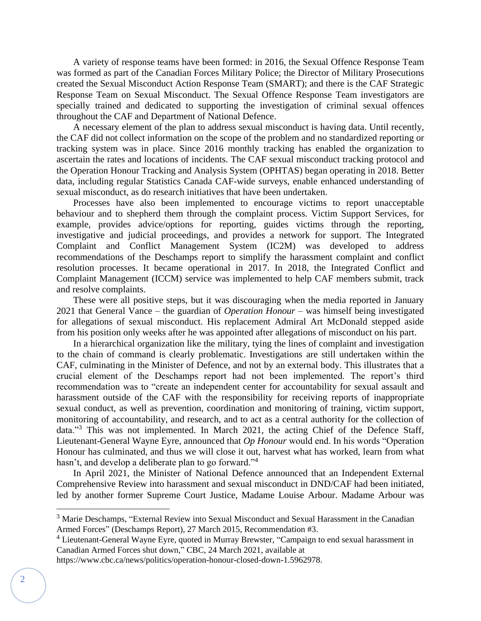A variety of response teams have been formed: in 2016, the Sexual Offence Response Team was formed as part of the Canadian Forces Military Police; the Director of Military Prosecutions created the Sexual Misconduct Action Response Team (SMART); and there is the CAF Strategic Response Team on Sexual Misconduct. The Sexual Offence Response Team investigators are specially trained and dedicated to supporting the investigation of criminal sexual offences throughout the CAF and Department of National Defence.

A necessary element of the plan to address sexual misconduct is having data. Until recently, the CAF did not collect information on the scope of the problem and no standardized reporting or tracking system was in place. Since 2016 monthly tracking has enabled the organization to ascertain the rates and locations of incidents. The CAF sexual misconduct tracking protocol and the Operation Honour Tracking and Analysis System (OPHTAS) began operating in 2018. Better data, including regular Statistics Canada CAF-wide surveys, enable enhanced understanding of sexual misconduct, as do research initiatives that have been undertaken.

Processes have also been implemented to encourage victims to report unacceptable behaviour and to shepherd them through the complaint process. Victim Support Services, for example, provides advice/options for reporting, guides victims through the reporting, investigative and judicial proceedings, and provides a network for support. The Integrated Complaint and Conflict Management System (IC2M) was developed to address recommendations of the Deschamps report to simplify the harassment complaint and conflict resolution processes. It became operational in 2017. In 2018, the Integrated Conflict and Complaint Management (ICCM) service was implemented to help CAF members submit, track and resolve complaints.

These were all positive steps, but it was discouraging when the media reported in January 2021 that General Vance – the guardian of *Operation Honour* – was himself being investigated for allegations of sexual misconduct. His replacement Admiral Art McDonald stepped aside from his position only weeks after he was appointed after allegations of misconduct on his part.

In a hierarchical organization like the military, tying the lines of complaint and investigation to the chain of command is clearly problematic. Investigations are still undertaken within the CAF, culminating in the Minister of Defence, and not by an external body. This illustrates that a crucial element of the Deschamps report had not been implemented. The report's third recommendation was to "create an independent center for accountability for sexual assault and harassment outside of the CAF with the responsibility for receiving reports of inappropriate sexual conduct, as well as prevention, coordination and monitoring of training, victim support, monitoring of accountability, and research, and to act as a central authority for the collection of data."<sup>3</sup> This was not implemented. In March 2021, the acting Chief of the Defence Staff, Lieutenant-General Wayne Eyre, announced that *Op Honour* would end. In his words "Operation Honour has culminated, and thus we will close it out, harvest what has worked, learn from what hasn't, and develop a deliberate plan to go forward."<sup>4</sup>

In April 2021, the Minister of National Defence announced that an Independent External Comprehensive Review into harassment and sexual misconduct in DND/CAF had been initiated, led by another former Supreme Court Justice, Madame Louise Arbour. Madame Arbour was

<sup>&</sup>lt;sup>3</sup> Marie Deschamps, "External Review into Sexual Misconduct and Sexual Harassment in the Canadian Armed Forces" (Deschamps Report), 27 March 2015, Recommendation #3.

<sup>&</sup>lt;sup>4</sup> Lieutenant-General Wayne Eyre, quoted in Murray Brewster, "Campaign to end sexual harassment in Canadian Armed Forces shut down," CBC, 24 March 2021, available at

https://www.cbc.ca/news/politics/operation-honour-closed-down-1.5962978.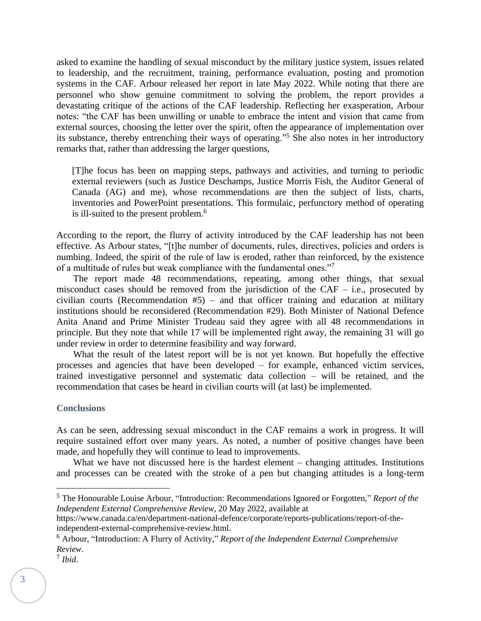asked to examine the handling of sexual misconduct by the military justice system, issues related to leadership, and the recruitment, training, performance evaluation, posting and promotion systems in the CAF. Arbour released her report in late May 2022. While noting that there are personnel who show genuine commitment to solving the problem, the report provides a devastating critique of the actions of the CAF leadership. Reflecting her exasperation, Arbour notes: "the CAF has been unwilling or unable to embrace the intent and vision that came from external sources, choosing the letter over the spirit, often the appearance of implementation over its substance, thereby entrenching their ways of operating."<sup>5</sup> She also notes in her introductory remarks that, rather than addressing the larger questions,

[T]he focus has been on mapping steps, pathways and activities, and turning to periodic external reviewers (such as Justice Deschamps, Justice Morris Fish, the Auditor General of Canada (AG) and me), whose recommendations are then the subject of lists, charts, inventories and PowerPoint presentations. This formulaic, perfunctory method of operating is ill-suited to the present problem.<sup>6</sup>

According to the report, the flurry of activity introduced by the CAF leadership has not been effective. As Arbour states, "[t]he number of documents, rules, directives, policies and orders is numbing. Indeed, the spirit of the rule of law is eroded, rather than reinforced, by the existence of a multitude of rules but weak compliance with the fundamental ones."<sup>7</sup>

The report made 48 recommendations, repeating, among other things, that sexual misconduct cases should be removed from the jurisdiction of the CAF – i.e., prosecuted by civilian courts (Recommendation #5) – and that officer training and education at military institutions should be reconsidered (Recommendation #29). Both Minister of National Defence Anita Anand and Prime Minister Trudeau said they agree with all 48 recommendations in principle. But they note that while 17 will be implemented right away, the remaining 31 will go under review in order to determine feasibility and way forward.

What the result of the latest report will be is not yet known. But hopefully the effective processes and agencies that have been developed – for example, enhanced victim services, trained investigative personnel and systematic data collection – will be retained, and the recommendation that cases be heard in civilian courts will (at last) be implemented.

## **Conclusions**

As can be seen, addressing sexual misconduct in the CAF remains a work in progress. It will require sustained effort over many years. As noted, a number of positive changes have been made, and hopefully they will continue to lead to improvements.

What we have not discussed here is the hardest element – changing attitudes. Institutions and processes can be created with the stroke of a pen but changing attitudes is a long-term

<sup>5</sup> The Honourable Louise Arbour, "Introduction: Recommendations Ignored or Forgotten," *Report of the Independent External Comprehensive Review*, 20 May 2022, available at

https://www.canada.ca/en/department-national-defence/corporate/reports-publications/report-of-theindependent-external-comprehensive-review.html.

<sup>6</sup> Arbour, "Introduction: A Flurry of Activity," *Report of the Independent External Comprehensive Review*.

<sup>7</sup> *Ibid*.